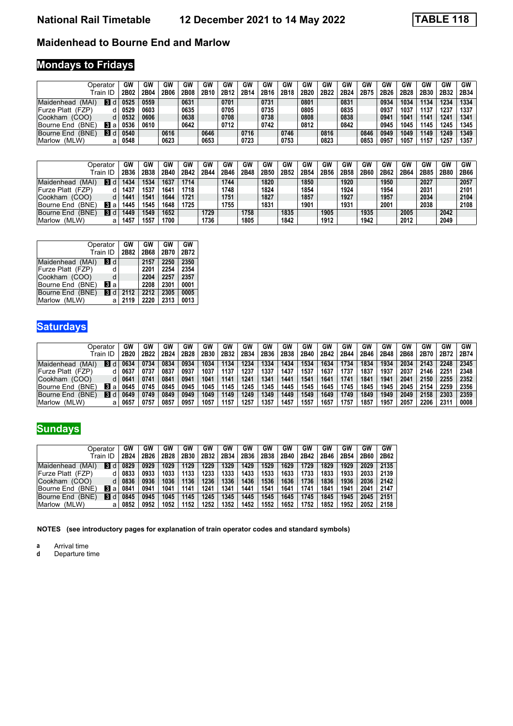### **Maidenhead to Bourne End and Marlow**

# **Mondays to Fridays**

|                           | Operator       | GW   | GW   | GW   | GW   | GW   | GW   | GW   | GW   | GW   | GW               | GW   | GW               | GW   | GW   | <b>GW</b>        | GW   | GW   | GW   |
|---------------------------|----------------|------|------|------|------|------|------|------|------|------|------------------|------|------------------|------|------|------------------|------|------|------|
|                           | ™rain ID       | 2B02 | 2B04 | 2B06 | 2B08 | 2B10 | 2B1: | 2B14 | 2B16 | 2B18 | 2B <sub>20</sub> | 2B22 | 2B <sub>24</sub> | 2B75 | 2B26 | 2B <sub>28</sub> | 2B30 | 2B32 | 2B34 |
| Maidenhead<br>'MAI        | 3 <sub>0</sub> | 0525 | 0559 |      | 0631 |      | 0701 |      | 0731 |      | 0801             |      | 0831             |      | 0934 | 1034             | 1134 | 1234 | 1334 |
| (FZP)<br>∣Furze Platt     |                | 0529 | 0603 |      | 0635 |      | 0705 |      | 0735 |      | 0805             |      | 0835             |      | 0937 | 1037             | 1137 | 1237 | 1337 |
| <b>Cookham</b><br>(COO)   |                | 0532 | 0606 |      | 0638 |      | 0708 |      | 0738 |      | 0808             |      | 0838             |      | 0941 | 104 <sup>1</sup> | 1141 | 1241 | 1341 |
| (BNE<br><b>Bourne End</b> | Вa             | 0536 | 0610 |      | 0642 |      | 0712 |      | 0742 |      | 0812             |      | 0842             |      | 0945 | 1045             | 1145 | 1245 | 1345 |
| (BNE<br><b>Bourne End</b> | <b>Bi</b> d    | 0540 |      | 0616 |      | 0646 |      | 0716 |      | 0746 |                  | 0816 |                  | 0846 | 0949 | 1049             | 1149 | 1249 | 1349 |
| (MLW)<br>Marlow           | а              | 0548 |      | 0623 |      | 0653 |      | 0723 |      | 0753 |                  | 0823 |                  | 0853 | 0957 | 1057             | 1157 | 1257 | 1357 |

|                           | Operator    | GW   | GW   | GW   | <b>GV</b> | GW   | GW   | GW   | G٧   | GW   | GW   | GW   | GW   | GW   | GW   | GW   | G٧   | GW   | <b>GW</b> |
|---------------------------|-------------|------|------|------|-----------|------|------|------|------|------|------|------|------|------|------|------|------|------|-----------|
|                           | 「rain ID    | 2B36 | 2B38 | 2B40 | 2B42      | 2B44 | 2B46 | 2B48 | 2B50 | 2B52 | 2B54 | 2B56 | 2B58 | 2B60 | 2B62 | 2B64 | 2B85 | 2B80 | 2B66      |
| <b>Maidenhead</b><br>'MAI | <b>33 d</b> | 1434 | 1534 | 1637 | 1714      |      | 1744 |      | 1820 |      | 1850 |      | 1920 |      | 1950 |      | 2027 |      | 2057      |
| <b>Furze Platt (FZP)</b>  |             | 1437 | 1537 | 1641 | 1718      |      | 1748 |      | 1824 |      | 1854 |      | 1924 |      | 1954 |      | 2031 |      | 2101      |
| Cookham<br>(COO)          | d           | 1441 | 1541 | 1644 | 1721      |      | 1751 |      | 1827 |      | 1857 |      | 1927 |      | 1957 |      | 2034 |      | 2104      |
| (BNE<br>Bourne End        | <b>3</b> a  | 1445 | 1545 | 1648 | 1725      |      | 1755 |      | 1831 |      | 1901 |      | 1931 |      | 2001 |      | 2038 |      | 2108      |
| (BNE<br>Bourne End        | ष्ठा d      | 1449 | 1549 | 1652 |           | 1729 |      | 1758 |      | 1835 |      | 1905 |      | 1935 |      | 2005 |      | 2042 |           |
| (MLW)<br>Marlow           | а           | 1457 | 1557 | 1700 |           | 1736 |      | 1805 |      | 1842 |      | 1912 |      | 1942 |      | 2012 |      | 2049 |           |

|                   | Operator<br>Train ID | GW<br>2B82 | GW<br>2B68 | GW<br>2B70 | GW<br>2B72 |
|-------------------|----------------------|------------|------------|------------|------------|
| Maidenhead (MAI)  | 3d                   |            | 2157       | 2250       | 2350       |
| Furze Platt (FZP) | d                    |            | 2201       | 2254       | 2354       |
| Cookham (COO)     | d                    |            | 2204       | 2257       | 2357       |
| Bourne End (BNE)  | Вl а                 |            | 2208       | 2301       | 0001       |
| Bourne End (BNE)  | $\blacksquare$       | 2112       | 2212       | 2305       | 0005       |
| Marlow (MLW)      | a                    | 2119       | 2220       | 2313       | 0013       |

### **Saturdays**

| :Doerator                                  | GW               | GW            | GW               | GW   | GW   | GW   | GW   | GW   | GW   | GW   | GW   | GW   | GW   | GW   | GW   | GW   | GW   | <b>GW</b> |
|--------------------------------------------|------------------|---------------|------------------|------|------|------|------|------|------|------|------|------|------|------|------|------|------|-----------|
| Ш<br><sup>-</sup> rain                     | 2B <sub>20</sub> | 2B22          | 2B <sub>24</sub> | 2B28 | 2B30 | 2B32 | 2B34 | 2B36 | 2B38 | 2B40 | 2B42 | 2B44 | 2B46 | 2B48 | 2B68 | 2B70 | 2B72 | 2B74      |
| $\overline{3}$<br>Maidenhead<br>MAI`       | 0634             | 0734          | 0834             | 0934 | 1034 | 1134 | 1234 | 1334 | 1434 | 1534 | 1634 | 1734 | 1834 | 1934 | 2034 | 2143 | 2248 | 2345      |
| lFurze Platt<br>(FZP)                      | 0637             | 0737          | 083              | 0937 | 1037 | 1137 | 1237 | 1337 | 1437 | 1537 | 1637 | 1737 | 1837 | 1937 | 203  | 2146 | 2251 | 2348      |
| (COO)<br>Cookham                           | 0641             | $074^{\circ}$ | 084'             | 0941 | 1041 | 114  | 1241 | 134  | 1441 | 1541 | 1641 | 1741 | 1841 | 1941 | 2041 | 2150 | 2255 | 2352      |
| 3<br>(BNE)<br>Bourne End<br>a              | 0645             | 0745          | 0845             | 0945 | 1045 | 1145 | 1245 | 1345 | 1445 | 1545 | 1645 | 1745 | 1845 | 1945 | 2045 | 2154 | 2259 | 2356      |
| $\overline{3}$<br>(BNE)<br>Bourne End<br>d | 0649             | 0749          | 0849             | 0949 | 1049 | 1149 | 1249 | 1349 | 1449 | 1549 | 1649 | 1749 | 1849 | 1949 | 2049 | 2158 | 2303 | 2359      |
| (MLW)<br>Marlow                            | 0657             | 0757          | 0857             | 0957 | 1057 | 1157 | 1257 | 135  | 1457 | 1557 | 1657 | 1757 | 1857 | 1957 | 2057 | 2206 | 2311 | 0008      |

## **Sundays**

|                            | Operator      | GW               | GW               | GW   | GW   | GW   | GW   | GW   | GW   | GW   | GW   | GW   | GW   | GW   | GW   |
|----------------------------|---------------|------------------|------------------|------|------|------|------|------|------|------|------|------|------|------|------|
|                            | Train ID      | 2B <sub>24</sub> | 2B <sub>26</sub> | 2B28 | 2B30 | 2B32 | 2B34 | 2B36 | 2B38 | 2B40 | 2B42 | 2B46 | 2B54 | 2B60 | 2B62 |
| Maidenhead<br>(MAI)        | <b>3</b><br>d | 0829             | 0929             | 1029 | 129  | 1229 | 1329 | 1429 | 1529 | 1629 | 1729 | 1829 | 1929 | 2029 | 2135 |
| Furze Platt (FZP)          |               | 0833             | 0933             | 1033 | 133  | 233  | 1333 | 1433 | 1533 | 1633 | 1733 | 1833 | 1933 | 2033 | 2139 |
| ∣Cookham<br>(COO)          | d             | 0836             | 0936             | 1036 | 136  | 1236 | 1336 | 1436 | 1536 | 1636 | 1736 | 1836 | 1936 | 2036 | 2142 |
| (BNE)<br><b>Bourne End</b> | 13<br>a       | 0841             | 0941             | 1041 | 141  | '241 | 1341 | 1441 | 1541 | 1641 | 1741 | 1841 | 1941 | 204  | 2147 |
| (BNE)<br>Bourne End        | 3<br>d        | 0845             | 0945             | 1045 | 145  | 1245 | 1345 | 1445 | 1545 | 1645 | 1745 | 1845 | 1945 | 2045 | 2151 |
| (MLW)<br>Marlow            | a             | 0852             | 0952             | 1052 | 152  | 1252 | 1352 | 1452 | 1552 | 1652 | 1752 | 1852 | 1952 | 2052 | 2158 |

**NOTES (see introductory pages for explanation of train operator codes and standard symbols)**

**a** Arrival time<br>**d** Departure t

**d** Departure time